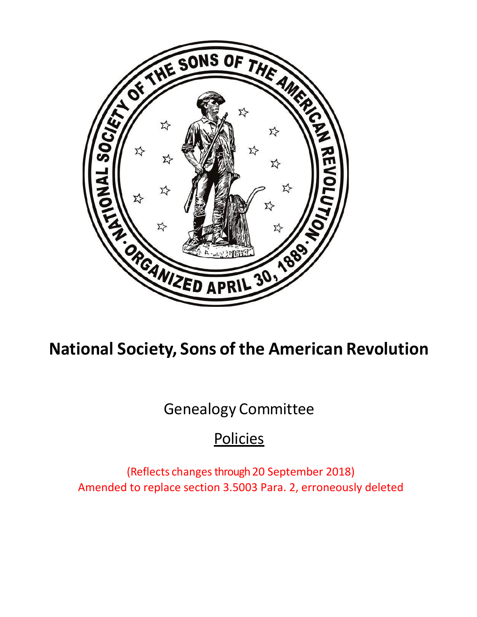

# **National Society, Sons of the American Revolution**

Genealogy Committee

# **Policies**

(Reflects changes through 20 September 2018) Amended to replace section 3.5003 Para. 2, erroneously deleted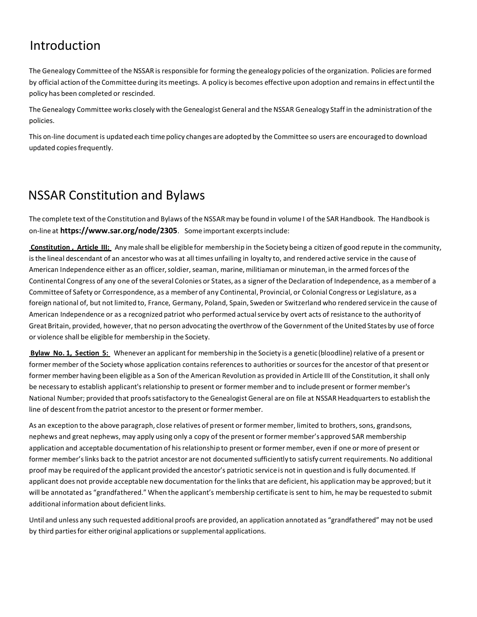# Introduction

The Genealogy Committee of the NSSAR is responsible for forming the genealogy policies of the organization. Policies are formed by official action of the Committee during its meetings. A policy is becomes effective upon adoption and remains in effect until the policy has been completed or rescinded.

The Genealogy Committee works closely with the Genealogist General and the NSSAR Genealogy Staff in the administration of the policies.

This on-line document is updated each time policy changes are adopted by the Committee so users are encouraged to download updated copiesfrequently.

# NSSAR Constitution and Bylaws

The complete text of the Constitution and Bylaws of the NSSARmay be found in volume I of the SAR Handbook. The Handbook is on-line at **https:/[/www.sar.org/node/2305](http://www.sar.org/node/2305)**. Some important excerptsinclude:

**Constitution , Article III:** Any male shall be eligiblefor membership in the Society being a citizen of good repute in the community, isthe lineal descendant of an ancestor who was at all times unfailing in loyalty to, and rendered active service in the cause of American Independence either as an officer, soldier, seaman, marine, militiaman or minuteman, in the armed forces of the Continental Congress of any one of the several Colonies or States, as a signer of the Declaration of Independence, as a member of a Committeeof Safety or Correspondence, as a memberof any Continental, Provincial, or Colonial Congress or Legislature, as a foreign national of, but not limited to, France, Germany, Poland, Spain, Sweden or Switzerland who rendered servicein the cause of American Independence or as a recognized patriot who performed actualservice by overt acts of resistance to the authority of Great Britain, provided, however, that no person advocating the overthrow of the Government of the United States by use of force or violence shall be eligible for membership in the Society.

**Bylaw No. 1, Section 5:** Whenever an applicant for membership in the Society is a genetic (bloodline) relative of a present or former member of the Society whose application contains referencesto authorities or sourcesfor the ancestor of that present or former member having been eligible as a Son of the American Revolution as provided in Article III of the Constitution, it shall only be necessary to establish applicant's relationship to present or former member and to include present or former member's National Number; provided that proofssatisfactory to the Genealogist General are on file at NSSAR Headquartersto establish the line of descent from the patriot ancestor to the present or former member.

As an exception to the above paragraph, close relatives of present or former member, limited to brothers, sons, grandsons, nephews and great nephews, may apply using only a copy of the present or former member's approved SAR membership application and acceptable documentation of hisrelationship to present or former member, even if one or more of present or former member'slinks back to the patriot ancestor are not documented sufficiently to satisfy current requirements. No additional proof may be required of the applicant provided the ancestor's patriotic serviceis not in questionand is fully documented. If applicant does not provide acceptable new documentation for the links that are deficient, his application may be approved; but it will be annotated as "grandfathered." When the applicant's membership certificate is sent to him, he may be requested to submit additional information about deficient links.

Until and unless any such requested additional proofs are provided, an application annotated as "grandfathered" may not be used by third parties for either original applications or supplemental applications.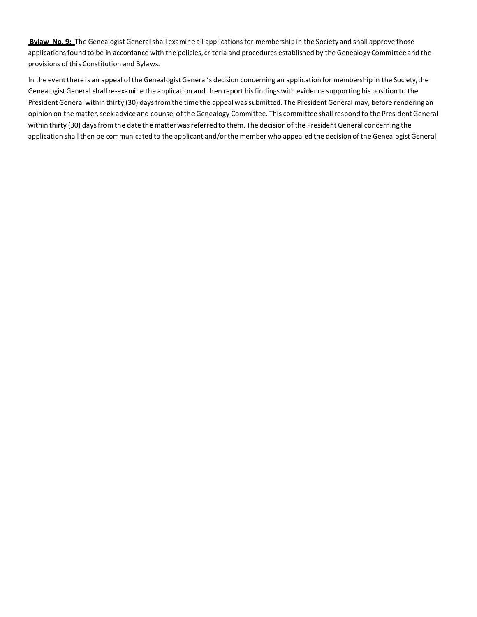**Bylaw No. 9:** The Genealogist General shall examine all applications for membership in the Society and shall approve those applications found to be in accordance with the policies, criteria and procedures established by the Genealogy Committee and the provisions of this Constitution and Bylaws.

In the eventthere is an appeal of the Genealogist General's decision concerning an application for membership in the Society,the Genealogist General shall re-examine the application and then report hisfindings with evidence supporting his position to the President General within thirty (30) daysfromthe time the appeal wassubmitted. The President General may, before rendering an opinion on the matter, seek advice and counsel of the Genealogy Committee. This committee shall respond to the President General within thirty (30) daysfromthe date the matter wasreferred to them. The decision of the President General concerning the application shall then be communicated to the applicant and/or the member who appealed the decision of the Genealogist General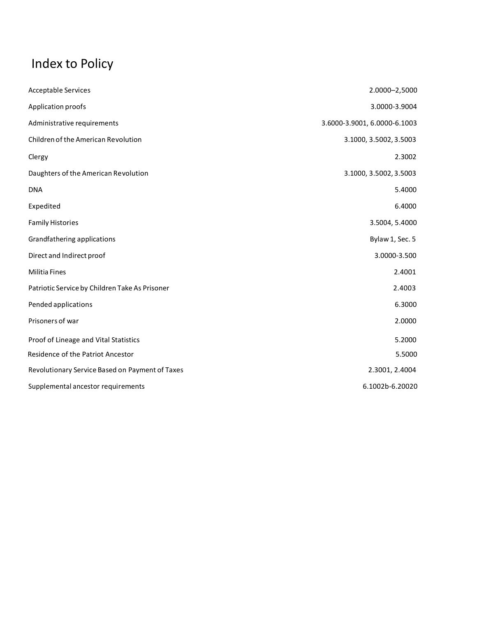# Index to Policy

| <b>Acceptable Services</b>                      | 2.0000-2,5000                |
|-------------------------------------------------|------------------------------|
| Application proofs                              | 3.0000-3.9004                |
| Administrative requirements                     | 3.6000-3.9001, 6.0000-6.1003 |
| Children of the American Revolution             | 3.1000, 3.5002, 3.5003       |
| Clergy                                          | 2.3002                       |
| Daughters of the American Revolution            | 3.1000, 3.5002, 3.5003       |
| <b>DNA</b>                                      | 5.4000                       |
| Expedited                                       | 6.4000                       |
| <b>Family Histories</b>                         | 3.5004, 5.4000               |
| Grandfathering applications                     | Bylaw 1, Sec. 5              |
| Direct and Indirect proof                       | 3.0000-3.500                 |
| <b>Militia Fines</b>                            | 2.4001                       |
| Patriotic Service by Children Take As Prisoner  | 2.4003                       |
| Pended applications                             | 6.3000                       |
| Prisoners of war                                | 2.0000                       |
| Proof of Lineage and Vital Statistics           | 5.2000                       |
| Residence of the Patriot Ancestor               | 5.5000                       |
| Revolutionary Service Based on Payment of Taxes | 2.3001, 2.4004               |
| Supplemental ancestor requirements              | 6.1002b-6.20020              |
|                                                 |                              |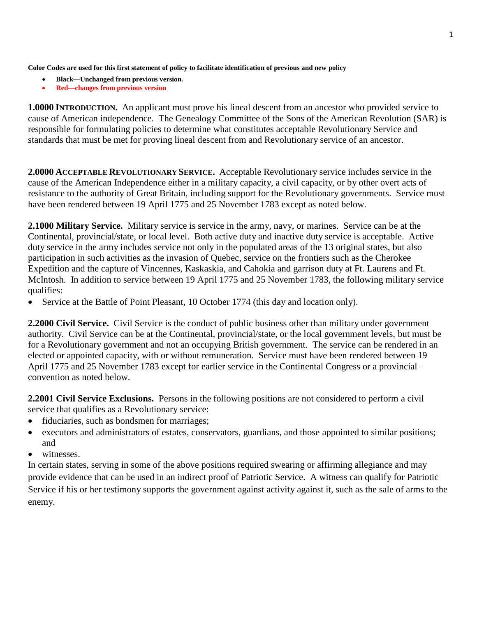**Color Codes are used for this first statement of policy to facilitate identification of previous and new policy**

- **Black—Unchanged from previous version.**
- **Red—changes from previous version**

**1.0000 INTRODUCTION.** An applicant must prove his lineal descent from an ancestor who provided service to cause of American independence. The Genealogy Committee of the Sons of the American Revolution (SAR) is responsible for formulating policies to determine what constitutes acceptable Revolutionary Service and standards that must be met for proving lineal descent from and Revolutionary service of an ancestor.

**2.0000 ACCEPTABLE REVOLUTIONARY SERVICE.** Acceptable Revolutionary service includes service in the cause of the American Independence either in a military capacity, a civil capacity, or by other overt acts of resistance to the authority of Great Britain, including support for the Revolutionary governments. Service must have been rendered between 19 April 1775 and 25 November 1783 except as noted below.

**2.1000 Military Service.** Military service is service in the army, navy, or marines. Service can be at the Continental, provincial/state, or local level. Both active duty and inactive duty service is acceptable. Active duty service in the army includes service not only in the populated areas of the 13 original states, but also participation in such activities as the invasion of Quebec, service on the frontiers such as the Cherokee Expedition and the capture of Vincennes, Kaskaskia, and Cahokia and garrison duty at Ft. Laurens and Ft. McIntosh. In addition to service between 19 April 1775 and 25 November 1783, the following military service qualifies:

• Service at the Battle of Point Pleasant, 10 October 1774 (this day and location only).

**2.2000 Civil Service.** Civil Service is the conduct of public business other than military under government authority. Civil Service can be at the Continental, provincial/state, or the local government levels, but must be for a Revolutionary government and not an occupying British government. The service can be rendered in an elected or appointed capacity, with or without remuneration. Service must have been rendered between 19 April 1775 and 25 November 1783 except for earlier service in the Continental Congress or a provincial convention as noted below.

**2.2001 Civil Service Exclusions.** Persons in the following positions are not considered to perform a civil service that qualifies as a Revolutionary service:

- fiduciaries, such as bondsmen for marriages;
- executors and administrators of estates, conservators, guardians, and those appointed to similar positions; and
- witnesses.

In certain states, serving in some of the above positions required swearing or affirming allegiance and may provide evidence that can be used in an indirect proof of Patriotic Service. A witness can qualify for Patriotic Service if his or her testimony supports the government against activity against it, such as the sale of arms to the enemy.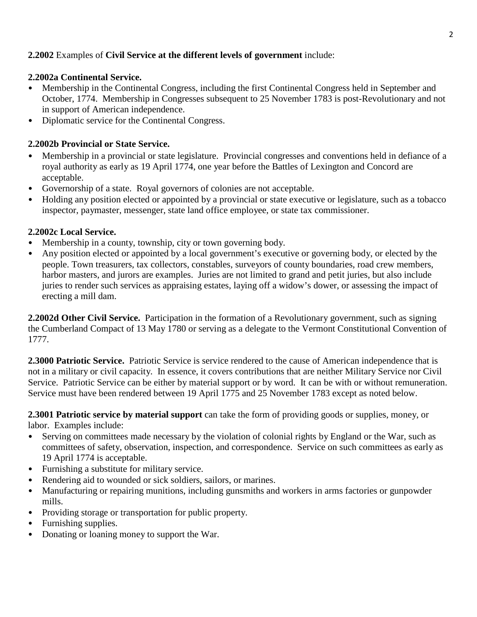# **2.2002** Examples of **Civil Service at the different levels of government** include:

#### **2.2002a Continental Service.**

- Membership in the Continental Congress, including the first Continental Congress held in September and October, 1774. Membership in Congresses subsequent to 25 November 1783 is post-Revolutionary and not in support of American independence.
- Diplomatic service for the Continental Congress.

# **2.2002b Provincial or State Service.**

- Membership in a provincial or state legislature. Provincial congresses and conventions held in defiance of a royal authority as early as 19 April 1774, one year before the Battles of Lexington and Concord are acceptable.
- Governorship of a state. Royal governors of colonies are not acceptable.
- Holding any position elected or appointed by a provincial or state executive or legislature, such as a tobacco inspector, paymaster, messenger, state land office employee, or state tax commissioner.

#### **2.2002c Local Service.**

- Membership in a county, township, city or town governing body.
- Any position elected or appointed by a local government's executive or governing body, or elected by the people. Town treasurers, tax collectors, constables, surveyors of county boundaries, road crew members, harbor masters, and jurors are examples. Juries are not limited to grand and petit juries, but also include juries to render such services as appraising estates, laying off a widow's dower, or assessing the impact of erecting a mill dam.

**2.2002d Other Civil Service.** Participation in the formation of a Revolutionary government, such as signing the Cumberland Compact of 13 May 1780 or serving as a delegate to the Vermont Constitutional Convention of 1777.

**2.3000 Patriotic Service.** Patriotic Service is service rendered to the cause of American independence that is not in a military or civil capacity. In essence, it covers contributions that are neither Military Service nor Civil Service. Patriotic Service can be either by material support or by word. It can be with or without remuneration. Service must have been rendered between 19 April 1775 and 25 November 1783 except as noted below.

**2.3001 Patriotic service by material support** can take the form of providing goods or supplies, money, or labor. Examples include:

- Serving on committees made necessary by the violation of colonial rights by England or the War, such as committees of safety, observation, inspection, and correspondence. Service on such committees as early as 19 April 1774 is acceptable.
- Furnishing a substitute for military service.
- Rendering aid to wounded or sick soldiers, sailors, or marines.
- Manufacturing or repairing munitions, including gunsmiths and workers in arms factories or gunpowder mills.
- Providing storage or transportation for public property.
- Furnishing supplies.
- Donating or loaning money to support the War.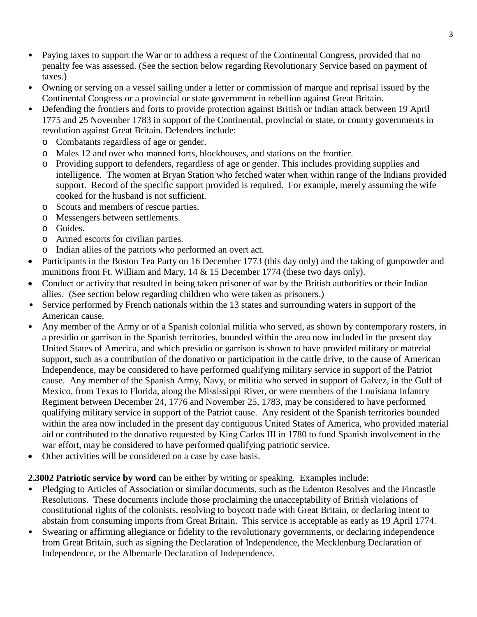- Paying taxes to support the War or to address a request of the Continental Congress, provided that no penalty fee was assessed. (See the section below regarding Revolutionary Service based on payment of taxes.)
- Owning or serving on a vessel sailing under a letter or commission of marque and reprisal issued by the Continental Congress or a provincial or state government in rebellion against Great Britain.
- Defending the frontiers and forts to provide protection against British or Indian attack between 19 April 1775 and 25 November 1783 in support of the Continental, provincial or state, or county governments in revolution against Great Britain. Defenders include:
	- o Combatants regardless of age or gender.
	- o Males 12 and over who manned forts, blockhouses, and stations on the frontier.
	- o Providing support to defenders, regardless of age or gender. This includes providing supplies and intelligence. The women at Bryan Station who fetched water when within range of the Indians provided support. Record of the specific support provided is required. For example, merely assuming the wife cooked for the husband is not sufficient.
	- o Scouts and members of rescue parties.
	- o Messengers between settlements.
	- o Guides.
	- o Armed escorts for civilian parties.
	- o Indian allies of the patriots who performed an overt act.
- Participants in the Boston Tea Party on 16 December 1773 (this day only) and the taking of gunpowder and munitions from Ft. William and Mary, 14 & 15 December 1774 (these two days only).
- Conduct or activity that resulted in being taken prisoner of war by the British authorities or their Indian allies. (See section below regarding children who were taken as prisoners.)
- Service performed by French nationals within the 13 states and surrounding waters in support of the American cause.
- Any member of the Army or of a Spanish colonial militia who served, as shown by contemporary rosters, in a presidio or garrison in the Spanish territories, bounded within the area now included in the present day United States of America, and which presidio or garrison is shown to have provided military or material support, such as a contribution of the donativo or participation in the cattle drive, to the cause of American Independence, may be considered to have performed qualifying military service in support of the Patriot cause. Any member of the Spanish Army, Navy, or militia who served in support of Galvez, in the Gulf of Mexico, from Texas to Florida, along the Mississippi River, or were members of the Louisiana Infantry Regiment between December 24, 1776 and November 25, 1783, may be considered to have performed qualifying military service in support of the Patriot cause. Any resident of the Spanish territories bounded within the area now included in the present day contiguous United States of America, who provided material aid or contributed to the donativo requested by King Carlos III in 1780 to fund Spanish involvement in the war effort, may be considered to have performed qualifying patriotic service.
- Other activities will be considered on a case by case basis.

# **2.3002 Patriotic service by word** can be either by writing or speaking. Examples include:

- Pledging to Articles of Association or similar documents, such as the Edenton Resolves and the Fincastle Resolutions. These documents include those proclaiming the unacceptability of British violations of constitutional rights of the colonists, resolving to boycott trade with Great Britain, or declaring intent to abstain from consuming imports from Great Britain. This service is acceptable as early as 19 April 1774.
- Swearing or affirming allegiance or fidelity to the revolutionary governments, or declaring independence from Great Britain, such as signing the Declaration of Independence, the Mecklenburg Declaration of Independence, or the Albemarle Declaration of Independence.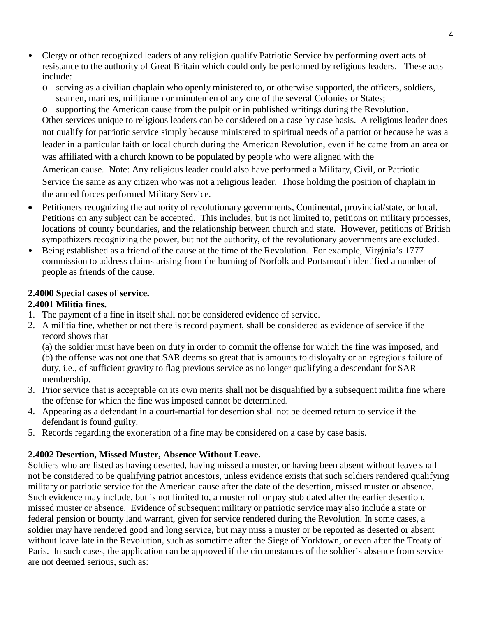- Clergy or other recognized leaders of any religion qualify Patriotic Service by performing overt acts of resistance to the authority of Great Britain which could only be performed by religious leaders. These acts include:
	- o serving as a civilian chaplain who openly ministered to, or otherwise supported, the officers, soldiers, seamen, marines, militiamen or minutemen of any one of the several Colonies or States;

o supporting the American cause from the pulpit or in published writings during the Revolution. Other services unique to religious leaders can be considered on a case by case basis. A religious leader does not qualify for patriotic service simply because ministered to spiritual needs of a patriot or because he was a leader in a particular faith or local church during the American Revolution, even if he came from an area or was affiliated with a church known to be populated by people who were aligned with the American cause. Note: Any religious leader could also have performed a Military, Civil, or Patriotic Service the same as any citizen who was not a religious leader. Those holding the position of chaplain in the armed forces performed Military Service.

- Petitioners recognizing the authority of revolutionary governments, Continental, provincial/state, or local. Petitions on any subject can be accepted. This includes, but is not limited to, petitions on military processes, locations of county boundaries, and the relationship between church and state. However, petitions of British sympathizers recognizing the power, but not the authority, of the revolutionary governments are excluded.
- Being established as a friend of the cause at the time of the Revolution. For example, Virginia's 1777 commission to address claims arising from the burning of Norfolk and Portsmouth identified a number of people as friends of the cause.

# **2.4000 Special cases of service.**

# **2.4001 Militia fines.**

- 1. The payment of a fine in itself shall not be considered evidence of service.
- 2. A militia fine, whether or not there is record payment, shall be considered as evidence of service if the record shows that

(a) the soldier must have been on duty in order to commit the offense for which the fine was imposed, and (b) the offense was not one that SAR deems so great that is amounts to disloyalty or an egregious failure of duty, i.e., of sufficient gravity to flag previous service as no longer qualifying a descendant for SAR membership.

- 3. Prior service that is acceptable on its own merits shall not be disqualified by a subsequent militia fine where the offense for which the fine was imposed cannot be determined.
- 4. Appearing as a defendant in a court-martial for desertion shall not be deemed return to service if the defendant is found guilty.
- 5. Records regarding the exoneration of a fine may be considered on a case by case basis.

#### **2.4002 Desertion, Missed Muster, Absence Without Leave.**

Soldiers who are listed as having deserted, having missed a muster, or having been absent without leave shall not be considered to be qualifying patriot ancestors, unless evidence exists that such soldiers rendered qualifying military or patriotic service for the American cause after the date of the desertion, missed muster or absence. Such evidence may include, but is not limited to, a muster roll or pay stub dated after the earlier desertion, missed muster or absence. Evidence of subsequent military or patriotic service may also include a state or federal pension or bounty land warrant, given for service rendered during the Revolution. In some cases, a soldier may have rendered good and long service, but may miss a muster or be reported as deserted or absent without leave late in the Revolution, such as sometime after the Siege of Yorktown, or even after the Treaty of Paris. In such cases, the application can be approved if the circumstances of the soldier's absence from service are not deemed serious, such as: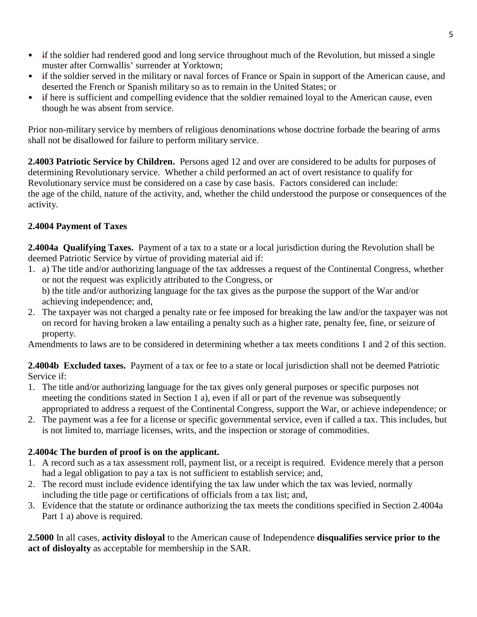- if the soldier had rendered good and long service throughout much of the Revolution, but missed a single muster after Cornwallis' surrender at Yorktown;
- if the soldier served in the military or naval forces of France or Spain in support of the American cause, and deserted the French or Spanish military so as to remain in the United States; or
- if here is sufficient and compelling evidence that the soldier remained loyal to the American cause, even though he was absent from service.

Prior non-military service by members of religious denominations whose doctrine forbade the bearing of arms shall not be disallowed for failure to perform military service.

**2.4003 Patriotic Service by Children.** Persons aged 12 and over are considered to be adults for purposes of determining Revolutionary service. Whether a child performed an act of overt resistance to qualify for Revolutionary service must be considered on a case by case basis. Factors considered can include: the age of the child, nature of the activity, and, whether the child understood the purpose or consequences of the activity.

# **2.4004 Payment of Taxes**

**2.4004a Qualifying Taxes.** Payment of a tax to a state or a local jurisdiction during the Revolution shall be deemed Patriotic Service by virtue of providing material aid if:

1. a) The title and/or authorizing language of the tax addresses a request of the Continental Congress, whether or not the request was explicitly attributed to the Congress, or

b) the title and/or authorizing language for the tax gives as the purpose the support of the War and/or achieving independence; and,

2. The taxpayer was not charged a penalty rate or fee imposed for breaking the law and/or the taxpayer was not on record for having broken a law entailing a penalty such as a higher rate, penalty fee, fine, or seizure of property.

Amendments to laws are to be considered in determining whether a tax meets conditions 1 and 2 of this section.

**2.4004b Excluded taxes.** Payment of a tax or fee to a state or local jurisdiction shall not be deemed Patriotic Service if:

- 1. The title and/or authorizing language for the tax gives only general purposes or specific purposes not meeting the conditions stated in Section 1 a), even if all or part of the revenue was subsequently appropriated to address a request of the Continental Congress, support the War, or achieve independence; or
- 2. The payment was a fee for a license or specific governmental service, even if called a tax. This includes, but is not limited to, marriage licenses, writs, and the inspection or storage of commodities.

# **2.4004c The burden of proof is on the applicant.**

- 1. A record such as a tax assessment roll, payment list, or a receipt is required. Evidence merely that a person had a legal obligation to pay a tax is not sufficient to establish service; and,
- 2. The record must include evidence identifying the tax law under which the tax was levied, normally including the title page or certifications of officials from a tax list; and,
- 3. Evidence that the statute or ordinance authorizing the tax meets the conditions specified in Section 2.4004a Part 1 a) above is required.

**2.5000** In all cases, **activity disloyal** to the American cause of Independence **disqualifies service prior to the act of disloyalty** as acceptable for membership in the SAR.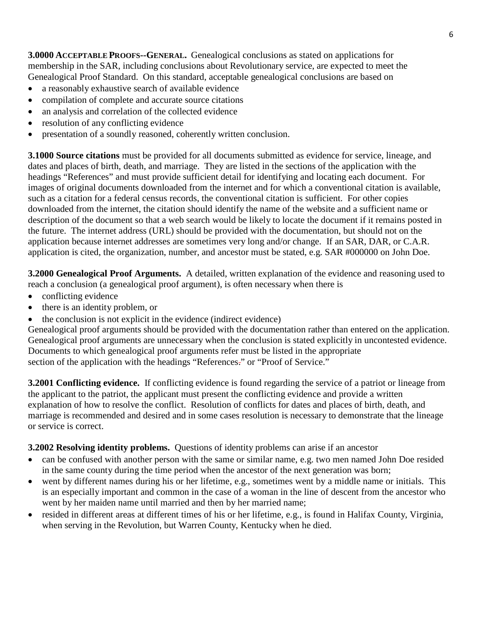**3.0000 ACCEPTABLE PROOFS--GENERAL.** Genealogical conclusions as stated on applications for membership in the SAR, including conclusions about Revolutionary service, are expected to meet the Genealogical Proof Standard. On this standard, acceptable genealogical conclusions are based on

- a reasonably exhaustive search of available evidence
- compilation of complete and accurate source citations
- an analysis and correlation of the collected evidence
- resolution of any conflicting evidence
- presentation of a soundly reasoned, coherently written conclusion.

**3.1000 Source citations** must be provided for all documents submitted as evidence for service, lineage, and dates and places of birth, death, and marriage. They are listed in the sections of the application with the headings "References" and must provide sufficient detail for identifying and locating each document. For images of original documents downloaded from the internet and for which a conventional citation is available, such as a citation for a federal census records, the conventional citation is sufficient. For other copies downloaded from the internet, the citation should identify the name of the website and a sufficient name or description of the document so that a web search would be likely to locate the document if it remains posted in the future. The internet address (URL) should be provided with the documentation, but should not on the application because internet addresses are sometimes very long and/or change. If an SAR, DAR, or C.A.R. application is cited, the organization, number, and ancestor must be stated, e.g. SAR #000000 on John Doe.

**3.2000 Genealogical Proof Arguments.** A detailed, written explanation of the evidence and reasoning used to reach a conclusion (a genealogical proof argument), is often necessary when there is

- conflicting evidence
- there is an identity problem, or
- the conclusion is not explicit in the evidence (indirect evidence)

Genealogical proof arguments should be provided with the documentation rather than entered on the application. Genealogical proof arguments are unnecessary when the conclusion is stated explicitly in uncontested evidence. Documents to which genealogical proof arguments refer must be listed in the appropriate section of the application with the headings "References." or "Proof of Service."

**3.2001 Conflicting evidence.** If conflicting evidence is found regarding the service of a patriot or lineage from the applicant to the patriot, the applicant must present the conflicting evidence and provide a written explanation of how to resolve the conflict. Resolution of conflicts for dates and places of birth, death, and marriage is recommended and desired and in some cases resolution is necessary to demonstrate that the lineage or service is correct.

# **3.2002 Resolving identity problems.** Questions of identity problems can arise if an ancestor

- can be confused with another person with the same or similar name, e.g. two men named John Doe resided in the same county during the time period when the ancestor of the next generation was born;
- went by different names during his or her lifetime, e.g., sometimes went by a middle name or initials. This is an especially important and common in the case of a woman in the line of descent from the ancestor who went by her maiden name until married and then by her married name;
- resided in different areas at different times of his or her lifetime, e.g., is found in Halifax County, Virginia, when serving in the Revolution, but Warren County, Kentucky when he died.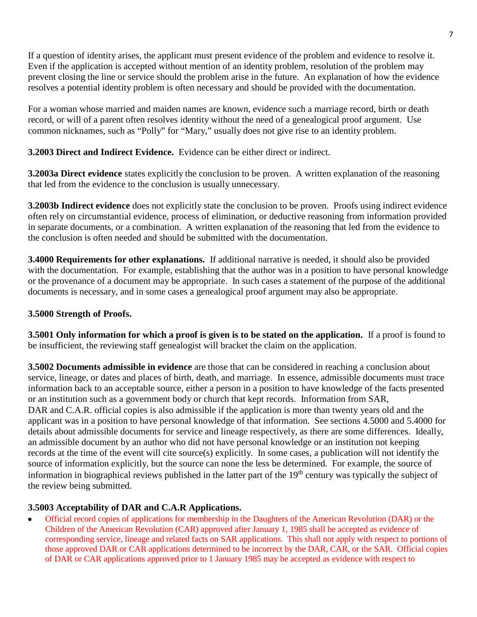If a question of identity arises, the applicant must present evidence of the problem and evidence to resolve it. Even if the application is accepted without mention of an identity problem, resolution of the problem may prevent closing the line or service should the problem arise in the future. An explanation of how the evidence resolves a potential identity problem is often necessary and should be provided with the documentation.

For a woman whose married and maiden names are known, evidence such a marriage record, birth or death record, or will of a parent often resolves identity without the need of a genealogical proof argument. Use common nicknames, such as "Polly" for "Mary," usually does not give rise to an identity problem.

**3.2003 Direct and Indirect Evidence.** Evidence can be either direct or indirect.

**3.2003a Direct evidence** states explicitly the conclusion to be proven. A written explanation of the reasoning that led from the evidence to the conclusion is usually unnecessary.

**3.2003b Indirect evidence** does not explicitly state the conclusion to be proven. Proofs using indirect evidence often rely on circumstantial evidence, process of elimination, or deductive reasoning from information provided in separate documents, or a combination. A written explanation of the reasoning that led from the evidence to the conclusion is often needed and should be submitted with the documentation.

**3.4000 Requirements for other explanations.** If additional narrative is needed, it should also be provided with the documentation. For example, establishing that the author was in a position to have personal knowledge or the provenance of a document may be appropriate. In such cases a statement of the purpose of the additional documents is necessary, and in some cases a genealogical proof argument may also be appropriate.

# **3.5000 Strength of Proofs.**

**3.5001 Only information for which a proof is given is to be stated on the application.** If a proof is found to be insufficient, the reviewing staff genealogist will bracket the claim on the application.

**3.5002 Documents admissible in evidence** are those that can be considered in reaching a conclusion about service, lineage, or dates and places of birth, death, and marriage. In essence, admissible documents must trace information back to an acceptable source, either a person in a position to have knowledge of the facts presented or an institution such as a government body or church that kept records. Information from SAR, DAR and C.A.R. official copies is also admissible if the application is more than twenty years old and the applicant was in a position to have personal knowledge of that information. See sections 4.5000 and 5.4000 for details about admissible documents for service and lineage respectively, as there are some differences. Ideally, an admissible document by an author who did not have personal knowledge or an institution not keeping records at the time of the event will cite source(s) explicitly. In some cases, a publication will not identify the source of information explicitly, but the source can none the less be determined. For example, the source of information in biographical reviews published in the latter part of the 19<sup>th</sup> century was typically the subject of the review being submitted.

# **3.5003 Acceptability of DAR and C.A.R Applications.**

• Official record copies of applications for membership in the Daughters of the American Revolution (DAR) or the Children of the American Revolution (CAR) approved after January 1, 1985 shall be accepted as evidence of corresponding service, lineage and related facts on SAR applications. This shall not apply with respect to portions of those approved DAR or CAR applications determined to be incorrect by the DAR, CAR, or the SAR. Official copies of DAR or CAR applications approved prior to 1 January 1985 may be accepted as evidence with respect to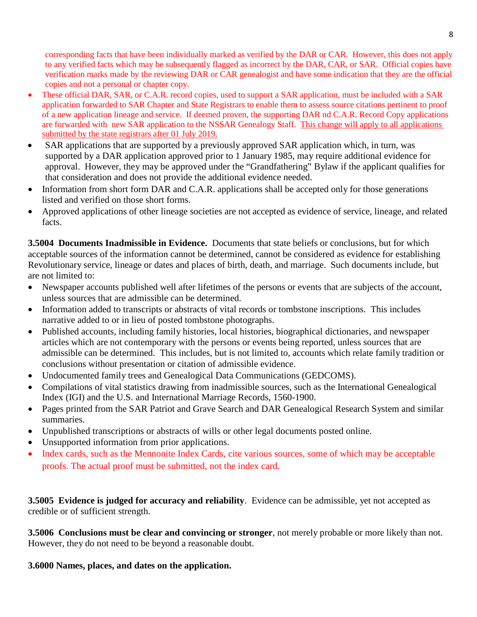corresponding facts that have been individually marked as verified by the DAR or CAR. However, this does not apply to any verified facts which may be subsequently flagged as incorrect by the DAR, CAR, or SAR. Official copies have verification marks made by the reviewing DAR or CAR genealogist and have some indication that they are the official copies and not a personal or chapter copy.

- These official DAR, SAR, or C.A.R. record copies, used to support a SAR application, must be included with a SAR application forwarded to SAR Chapter and State Registrars to enable them to assess source citations pertinent to proof of a new application lineage and service. If deemed proven, the supporting DAR nd C.A.R. Record Copy applications are forwarded with new SAR application to the NSSAR Genealogy Staff. This change will apply to all applications submitted by the state registrars after 01 July 2019.
- SAR applications that are supported by a previously approved SAR application which, in turn, was supported by a DAR application approved prior to 1 January 1985, may require additional evidence for approval. However, they may be approved under the "Grandfathering" Bylaw if the applicant qualifies for that consideration and does not provide the additional evidence needed.
- Information from short form DAR and C.A.R. applications shall be accepted only for those generations listed and verified on those short forms.
- Approved applications of other lineage societies are not accepted as evidence of service, lineage, and related facts.

**3.5004 Documents Inadmissible in Evidence.** Documents that state beliefs or conclusions, but for which acceptable sources of the information cannot be determined, cannot be considered as evidence for establishing Revolutionary service, lineage or dates and places of birth, death, and marriage. Such documents include, but are not limited to:

- Newspaper accounts published well after lifetimes of the persons or events that are subjects of the account, unless sources that are admissible can be determined.
- Information added to transcripts or abstracts of vital records or tombstone inscriptions. This includes narrative added to or in lieu of posted tombstone photographs.
- Published accounts, including family histories, local histories, biographical dictionaries, and newspaper articles which are not contemporary with the persons or events being reported, unless sources that are admissible can be determined. This includes, but is not limited to, accounts which relate family tradition or conclusions without presentation or citation of admissible evidence.
- Undocumented family trees and Genealogical Data Communications (GEDCOMS).
- Compilations of vital statistics drawing from inadmissible sources, such as the International Genealogical Index (IGI) and the U.S. and International Marriage Records, 1560-1900.
- Pages printed from the SAR Patriot and Grave Search and DAR Genealogical Research System and similar summaries.
- Unpublished transcriptions or abstracts of wills or other legal documents posted online.
- Unsupported information from prior applications.
- Index cards, such as the Mennonite Index Cards, cite various sources, some of which may be acceptable proofs. The actual proof must be submitted, not the index card.

**3.5005 Evidence is judged for accuracy and reliability**. Evidence can be admissible, yet not accepted as credible or of sufficient strength.

**3.5006 Conclusions must be clear and convincing or stronger**, not merely probable or more likely than not. However, they do not need to be beyond a reasonable doubt.

**3.6000 Names, places, and dates on the application.**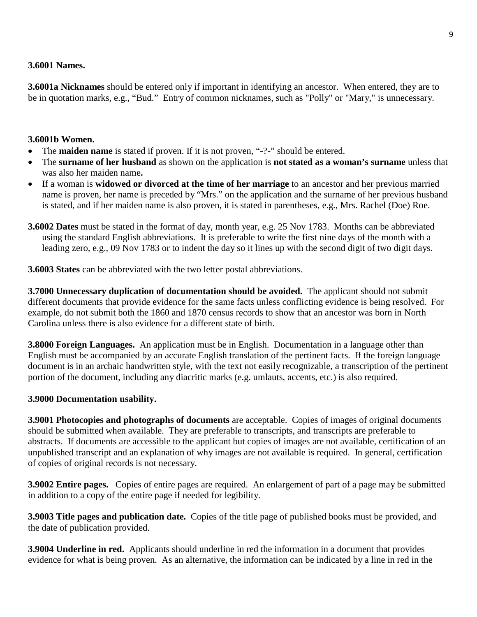#### **3.6001 Names.**

**3.6001a Nicknames** should be entered only if important in identifying an ancestor. When entered, they are to be in quotation marks, e.g., "Bud." Entry of common nicknames, such as "Polly" or "Mary," is unnecessary.

#### **3.6001b Women.**

- The **maiden name** is stated if proven. If it is not proven, "-?-" should be entered.
- The **surname of her husband** as shown on the application is **not stated as a woman's surname** unless that was also her maiden name**.**
- If a woman is **widowed or divorced at the time of her marriage** to an ancestor and her previous married name is proven, her name is preceded by "Mrs." on the application and the surname of her previous husband is stated, and if her maiden name is also proven, it is stated in parentheses, e.g., Mrs. Rachel (Doe) Roe.
- **3.6002 Dates** must be stated in the format of day, month year, e.g. 25 Nov 1783. Months can be abbreviated using the standard English abbreviations. It is preferable to write the first nine days of the month with a leading zero, e.g., 09 Nov 1783 or to indent the day so it lines up with the second digit of two digit days.

**3.6003 States** can be abbreviated with the two letter postal abbreviations.

**3.7000 Unnecessary duplication of documentation should be avoided.** The applicant should not submit different documents that provide evidence for the same facts unless conflicting evidence is being resolved. For example, do not submit both the 1860 and 1870 census records to show that an ancestor was born in North Carolina unless there is also evidence for a different state of birth.

**3.8000 Foreign Languages.** An application must be in English. Documentation in a language other than English must be accompanied by an accurate English translation of the pertinent facts. If the foreign language document is in an archaic handwritten style, with the text not easily recognizable, a transcription of the pertinent portion of the document, including any diacritic marks (e.g. umlauts, accents, etc.) is also required.

#### **3.9000 Documentation usability.**

**3.9001 Photocopies and photographs of documents** are acceptable. Copies of images of original documents should be submitted when available. They are preferable to transcripts, and transcripts are preferable to abstracts. If documents are accessible to the applicant but copies of images are not available, certification of an unpublished transcript and an explanation of why images are not available is required. In general, certification of copies of original records is not necessary.

**3.9002 Entire pages.** Copies of entire pages are required. An enlargement of part of a page may be submitted in addition to a copy of the entire page if needed for legibility.

**3.9003 Title pages and publication date.** Copies of the title page of published books must be provided, and the date of publication provided.

**3.9004 Underline in red.** Applicants should underline in red the information in a document that provides evidence for what is being proven. As an alternative, the information can be indicated by a line in red in the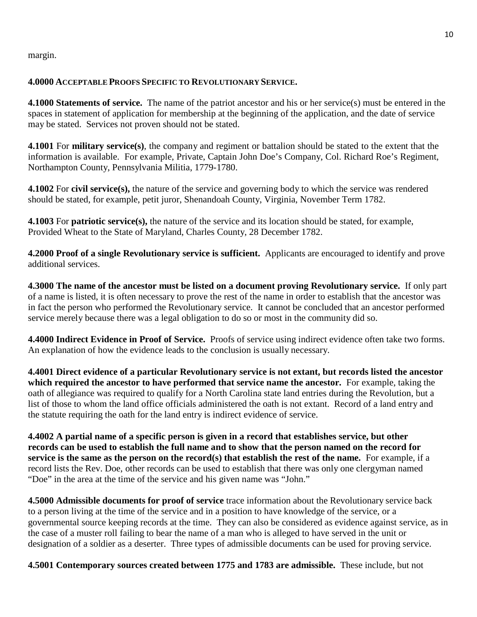margin.

#### **4.0000 ACCEPTABLE PROOFS SPECIFIC TO REVOLUTIONARY SERVICE.**

**4.1000 Statements of service.** The name of the patriot ancestor and his or her service(s) must be entered in the spaces in statement of application for membership at the beginning of the application, and the date of service may be stated. Services not proven should not be stated.

**4.1001** For **military service(s)**, the company and regiment or battalion should be stated to the extent that the information is available. For example, Private, Captain John Doe's Company, Col. Richard Roe's Regiment, Northampton County, Pennsylvania Militia, 1779-1780.

**4.1002** For **civil service(s),** the nature of the service and governing body to which the service was rendered should be stated, for example, petit juror, Shenandoah County, Virginia, November Term 1782.

**4.1003** For **patriotic service(s),** the nature of the service and its location should be stated, for example, Provided Wheat to the State of Maryland, Charles County, 28 December 1782.

**4.2000 Proof of a single Revolutionary service is sufficient.** Applicants are encouraged to identify and prove additional services.

**4.3000 The name of the ancestor must be listed on a document proving Revolutionary service.** If only part of a name is listed, it is often necessary to prove the rest of the name in order to establish that the ancestor was in fact the person who performed the Revolutionary service. It cannot be concluded that an ancestor performed service merely because there was a legal obligation to do so or most in the community did so.

**4.4000 Indirect Evidence in Proof of Service.** Proofs of service using indirect evidence often take two forms. An explanation of how the evidence leads to the conclusion is usually necessary.

**4.4001 Direct evidence of a particular Revolutionary service is not extant, but records listed the ancestor which required the ancestor to have performed that service name the ancestor.** For example, taking the oath of allegiance was required to qualify for a North Carolina state land entries during the Revolution, but a list of those to whom the land office officials administered the oath is not extant. Record of a land entry and the statute requiring the oath for the land entry is indirect evidence of service.

**4.4002 A partial name of a specific person is given in a record that establishes service, but other records can be used to establish the full name and to show that the person named on the record for service is the same as the person on the record(s) that establish the rest of the name.** For example, if a record lists the Rev. Doe, other records can be used to establish that there was only one clergyman named "Doe" in the area at the time of the service and his given name was "John."

**4.5000 Admissible documents for proof of service** trace information about the Revolutionary service back to a person living at the time of the service and in a position to have knowledge of the service, or a governmental source keeping records at the time. They can also be considered as evidence against service, as in the case of a muster roll failing to bear the name of a man who is alleged to have served in the unit or designation of a soldier as a deserter. Three types of admissible documents can be used for proving service.

**4.5001 Contemporary sources created between 1775 and 1783 are admissible.** These include, but not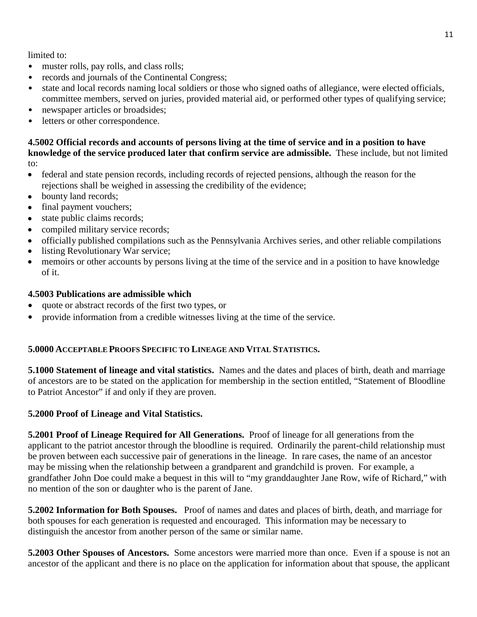11

limited to:

- muster rolls, pay rolls, and class rolls;
- records and journals of the Continental Congress;
- state and local records naming local soldiers or those who signed oaths of allegiance, were elected officials, committee members, served on juries, provided material aid, or performed other types of qualifying service;
- newspaper articles or broadsides;
- letters or other correspondence.

**4.5002 Official records and accounts of persons living at the time of service and in a position to have knowledge of the service produced later that confirm service are admissible.** These include, but not limited to:

- federal and state pension records, including records of rejected pensions, although the reason for the rejections shall be weighed in assessing the credibility of the evidence;
- bounty land records;
- final payment vouchers;
- state public claims records;
- compiled military service records;
- officially published compilations such as the Pennsylvania Archives series, and other reliable compilations
- listing Revolutionary War service;
- memoirs or other accounts by persons living at the time of the service and in a position to have knowledge of it.

# **4.5003 Publications are admissible which**

- quote or abstract records of the first two types, or
- provide information from a credible witnesses living at the time of the service.

# **5.0000 ACCEPTABLE PROOFS SPECIFIC TO LINEAGE AND VITAL STATISTICS.**

**5.1000 Statement of lineage and vital statistics.** Names and the dates and places of birth, death and marriage of ancestors are to be stated on the application for membership in the section entitled, "Statement of Bloodline to Patriot Ancestor" if and only if they are proven.

# **5.2000 Proof of Lineage and Vital Statistics.**

**5.2001 Proof of Lineage Required for All Generations.** Proof of lineage for all generations from the applicant to the patriot ancestor through the bloodline is required. Ordinarily the parent-child relationship must be proven between each successive pair of generations in the lineage. In rare cases, the name of an ancestor may be missing when the relationship between a grandparent and grandchild is proven. For example, a grandfather John Doe could make a bequest in this will to "my granddaughter Jane Row, wife of Richard," with no mention of the son or daughter who is the parent of Jane.

**5.2002 Information for Both Spouses.** Proof of names and dates and places of birth, death, and marriage for both spouses for each generation is requested and encouraged. This information may be necessary to distinguish the ancestor from another person of the same or similar name.

**5.2003 Other Spouses of Ancestors.** Some ancestors were married more than once. Even if a spouse is not an ancestor of the applicant and there is no place on the application for information about that spouse, the applicant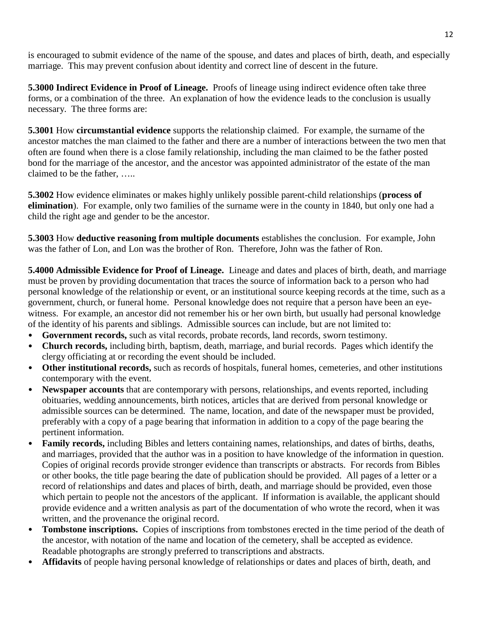is encouraged to submit evidence of the name of the spouse, and dates and places of birth, death, and especially marriage. This may prevent confusion about identity and correct line of descent in the future.

**5.3000 Indirect Evidence in Proof of Lineage.** Proofs of lineage using indirect evidence often take three forms, or a combination of the three. An explanation of how the evidence leads to the conclusion is usually necessary. The three forms are:

**5.3001** How **circumstantial evidence** supports the relationship claimed. For example, the surname of the ancestor matches the man claimed to the father and there are a number of interactions between the two men that often are found when there is a close family relationship, including the man claimed to be the father posted bond for the marriage of the ancestor, and the ancestor was appointed administrator of the estate of the man claimed to be the father, …..

**5.3002** How evidence eliminates or makes highly unlikely possible parent-child relationships (**process of elimination**). For example, only two families of the surname were in the county in 1840, but only one had a child the right age and gender to be the ancestor.

**5.3003** How **deductive reasoning from multiple documents** establishes the conclusion. For example, John was the father of Lon, and Lon was the brother of Ron. Therefore, John was the father of Ron.

**5.4000 Admissible Evidence for Proof of Lineage.** Lineage and dates and places of birth, death, and marriage must be proven by providing documentation that traces the source of information back to a person who had personal knowledge of the relationship or event, or an institutional source keeping records at the time, such as a government, church, or funeral home. Personal knowledge does not require that a person have been an eyewitness. For example, an ancestor did not remember his or her own birth, but usually had personal knowledge of the identity of his parents and siblings. Admissible sources can include, but are not limited to:

- **Government records,** such as vital records, probate records, land records, sworn testimony.
- **Church records,** including birth, baptism, death, marriage, and burial records. Pages which identify the clergy officiating at or recording the event should be included.
- **Other institutional records,** such as records of hospitals, funeral homes, cemeteries, and other institutions contemporary with the event.
- **Newspaper accounts** that are contemporary with persons, relationships, and events reported, including obituaries, wedding announcements, birth notices, articles that are derived from personal knowledge or admissible sources can be determined. The name, location, and date of the newspaper must be provided, preferably with a copy of a page bearing that information in addition to a copy of the page bearing the pertinent information.
- **Family records,** including Bibles and letters containing names, relationships, and dates of births, deaths, and marriages, provided that the author was in a position to have knowledge of the information in question. Copies of original records provide stronger evidence than transcripts or abstracts. For records from Bibles or other books, the title page bearing the date of publication should be provided. All pages of a letter or a record of relationships and dates and places of birth, death, and marriage should be provided, even those which pertain to people not the ancestors of the applicant. If information is available, the applicant should provide evidence and a written analysis as part of the documentation of who wrote the record, when it was written, and the provenance the original record.
- **Tombstone inscriptions.** Copies of inscriptions from tombstones erected in the time period of the death of the ancestor, with notation of the name and location of the cemetery, shall be accepted as evidence. Readable photographs are strongly preferred to transcriptions and abstracts.
- **Affidavits** of people having personal knowledge of relationships or dates and places of birth, death, and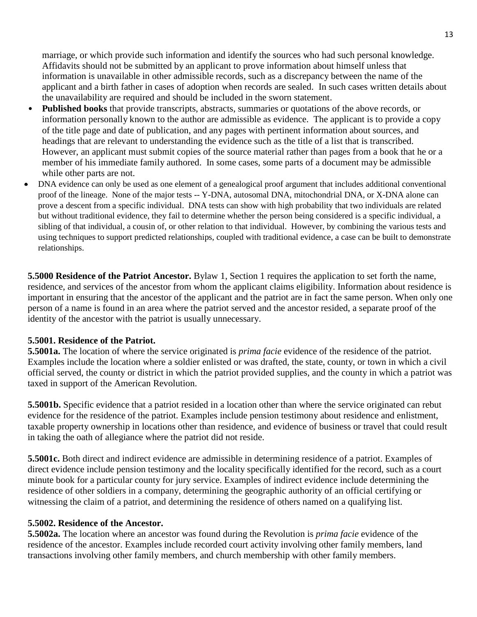marriage, or which provide such information and identify the sources who had such personal knowledge. Affidavits should not be submitted by an applicant to prove information about himself unless that information is unavailable in other admissible records, such as a discrepancy between the name of the applicant and a birth father in cases of adoption when records are sealed. In such cases written details about the unavailability are required and should be included in the sworn statement.

- **Published books** that provide transcripts, abstracts, summaries or quotations of the above records, or information personally known to the author are admissible as evidence. The applicant is to provide a copy of the title page and date of publication, and any pages with pertinent information about sources, and headings that are relevant to understanding the evidence such as the title of a list that is transcribed. However, an applicant must submit copies of the source material rather than pages from a book that he or a member of his immediate family authored. In some cases, some parts of a document may be admissible while other parts are not.
- DNA evidence can only be used as one element of a genealogical proof argument that includes additional conventional proof of the lineage. None of the major tests -- Y-DNA, autosomal DNA, mitochondrial DNA, or X-DNA alone can prove a descent from a specific individual. DNA tests can show with high probability that two individuals are related but without traditional evidence, they fail to determine whether the person being considered is a specific individual, a sibling of that individual, a cousin of, or other relation to that individual. However, by combining the various tests and using techniques to support predicted relationships, coupled with traditional evidence, a case can be built to demonstrate relationships.

**5.5000 Residence of the Patriot Ancestor.** Bylaw 1, Section 1 requires the application to set forth the name, residence, and services of the ancestor from whom the applicant claims eligibility. Information about residence is important in ensuring that the ancestor of the applicant and the patriot are in fact the same person. When only one person of a name is found in an area where the patriot served and the ancestor resided, a separate proof of the identity of the ancestor with the patriot is usually unnecessary.

#### **5.5001. Residence of the Patriot.**

**5.5001a.** The location of where the service originated is *prima facie* evidence of the residence of the patriot. Examples include the location where a soldier enlisted or was drafted, the state, county, or town in which a civil official served, the county or district in which the patriot provided supplies, and the county in which a patriot was taxed in support of the American Revolution.

**5.5001b.** Specific evidence that a patriot resided in a location other than where the service originated can rebut evidence for the residence of the patriot. Examples include pension testimony about residence and enlistment, taxable property ownership in locations other than residence, and evidence of business or travel that could result in taking the oath of allegiance where the patriot did not reside.

**5.5001c.** Both direct and indirect evidence are admissible in determining residence of a patriot. Examples of direct evidence include pension testimony and the locality specifically identified for the record, such as a court minute book for a particular county for jury service. Examples of indirect evidence include determining the residence of other soldiers in a company, determining the geographic authority of an official certifying or witnessing the claim of a patriot, and determining the residence of others named on a qualifying list.

#### **5.5002. Residence of the Ancestor.**

**5.5002a.** The location where an ancestor was found during the Revolution is *prima facie* evidence of the residence of the ancestor. Examples include recorded court activity involving other family members, land transactions involving other family members, and church membership with other family members.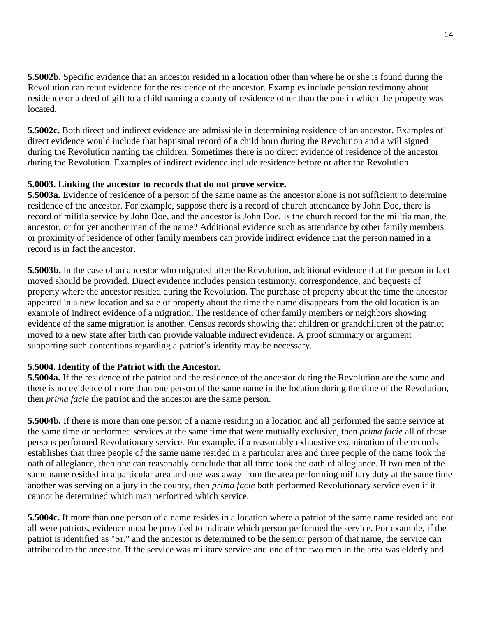**5.5002b.** Specific evidence that an ancestor resided in a location other than where he or she is found during the Revolution can rebut evidence for the residence of the ancestor. Examples include pension testimony about residence or a deed of gift to a child naming a county of residence other than the one in which the property was located.

**5.5002c.** Both direct and indirect evidence are admissible in determining residence of an ancestor. Examples of direct evidence would include that baptismal record of a child born during the Revolution and a will signed during the Revolution naming the children. Sometimes there is no direct evidence of residence of the ancestor during the Revolution. Examples of indirect evidence include residence before or after the Revolution.

# **5.0003. Linking the ancestor to records that do not prove service.**

**5.5003a.** Evidence of residence of a person of the same name as the ancestor alone is not sufficient to determine residence of the ancestor. For example, suppose there is a record of church attendance by John Doe, there is record of militia service by John Doe, and the ancestor is John Doe. Is the church record for the militia man, the ancestor, or for yet another man of the name? Additional evidence such as attendance by other family members or proximity of residence of other family members can provide indirect evidence that the person named in a record is in fact the ancestor.

**5.5003b.** In the case of an ancestor who migrated after the Revolution, additional evidence that the person in fact moved should be provided. Direct evidence includes pension testimony, correspondence, and bequests of property where the ancestor resided during the Revolution. The purchase of property about the time the ancestor appeared in a new location and sale of property about the time the name disappears from the old location is an example of indirect evidence of a migration. The residence of other family members or neighbors showing evidence of the same migration is another. Census records showing that children or grandchildren of the patriot moved to a new state after birth can provide valuable indirect evidence. A proof summary or argument supporting such contentions regarding a patriot's identity may be necessary.

#### **5.5004. Identity of the Patriot with the Ancestor.**

**5.5004a.** If the residence of the patriot and the residence of the ancestor during the Revolution are the same and there is no evidence of more than one person of the same name in the location during the time of the Revolution, then *prima facie* the patriot and the ancestor are the same person.

**5.5004b.** If there is more than one person of a name residing in a location and all performed the same service at the same time or performed services at the same time that were mutually exclusive, then *prima facie* all of those persons performed Revolutionary service. For example, if a reasonably exhaustive examination of the records establishes that three people of the same name resided in a particular area and three people of the name took the oath of allegiance, then one can reasonably conclude that all three took the oath of allegiance. If two men of the same name resided in a particular area and one was away from the area performing military duty at the same time another was serving on a jury in the county, then *prima facie* both performed Revolutionary service even if it cannot be determined which man performed which service.

**5.5004c.** If more than one person of a name resides in a location where a patriot of the same name resided and not all were patriots, evidence must be provided to indicate which person performed the service. For example, if the patriot is identified as "Sr." and the ancestor is determined to be the senior person of that name, the service can attributed to the ancestor. If the service was military service and one of the two men in the area was elderly and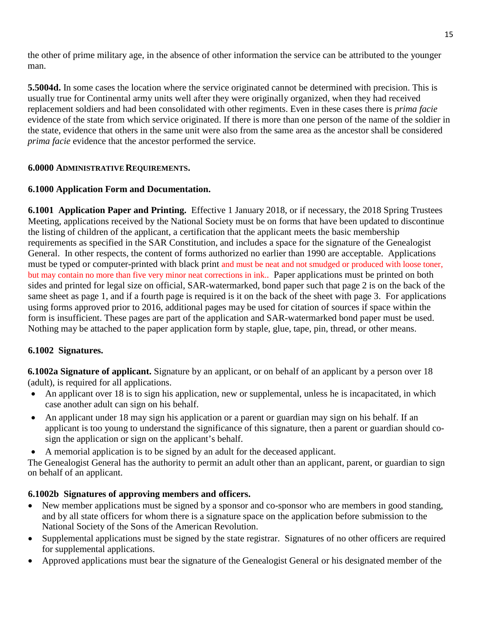the other of prime military age, in the absence of other information the service can be attributed to the younger man.

**5.5004d.** In some cases the location where the service originated cannot be determined with precision. This is usually true for Continental army units well after they were originally organized, when they had received replacement soldiers and had been consolidated with other regiments. Even in these cases there is *prima facie*  evidence of the state from which service originated. If there is more than one person of the name of the soldier in the state, evidence that others in the same unit were also from the same area as the ancestor shall be considered *prima facie* evidence that the ancestor performed the service.

# **6.0000 ADMINISTRATIVE REQUIREMENTS.**

# **6.1000 Application Form and Documentation.**

**6.1001 Application Paper and Printing.** Effective 1 January 2018, or if necessary, the 2018 Spring Trustees Meeting, applications received by the National Society must be on forms that have been updated to discontinue the listing of children of the applicant, a certification that the applicant meets the basic membership requirements as specified in the SAR Constitution, and includes a space for the signature of the Genealogist General. In other respects, the content of forms authorized no earlier than 1990 are acceptable. Applications must be typed or computer-printed with black print and must be neat and not smudged or produced with loose toner, but may contain no more than five very minor neat corrections in ink.. Paper applications must be printed on both sides and printed for legal size on official, SAR-watermarked, bond paper such that page 2 is on the back of the same sheet as page 1, and if a fourth page is required is it on the back of the sheet with page 3. For applications using forms approved prior to 2016, additional pages may be used for citation of sources if space within the form is insufficient. These pages are part of the application and SAR-watermarked bond paper must be used. Nothing may be attached to the paper application form by staple, glue, tape, pin, thread, or other means.

#### **6.1002 Signatures.**

**6.1002a Signature of applicant.** Signature by an applicant, or on behalf of an applicant by a person over 18 (adult), is required for all applications.

- An applicant over 18 is to sign his application, new or supplemental, unless he is incapacitated, in which case another adult can sign on his behalf.
- An applicant under 18 may sign his application or a parent or guardian may sign on his behalf. If an applicant is too young to understand the significance of this signature, then a parent or guardian should cosign the application or sign on the applicant's behalf.
- A memorial application is to be signed by an adult for the deceased applicant.

The Genealogist General has the authority to permit an adult other than an applicant, parent, or guardian to sign on behalf of an applicant.

# **6.1002b Signatures of approving members and officers.**

- New member applications must be signed by a sponsor and co-sponsor who are members in good standing, and by all state officers for whom there is a signature space on the application before submission to the National Society of the Sons of the American Revolution.
- Supplemental applications must be signed by the state registrar. Signatures of no other officers are required for supplemental applications.
- Approved applications must bear the signature of the Genealogist General or his designated member of the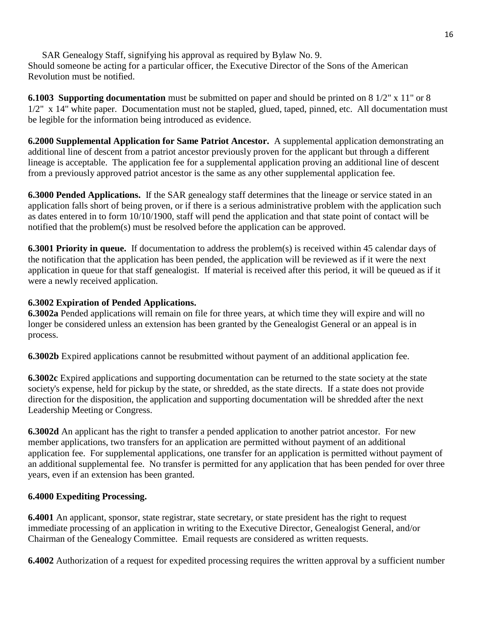SAR Genealogy Staff, signifying his approval as required by Bylaw No. 9. Should someone be acting for a particular officer, the Executive Director of the Sons of the American Revolution must be notified.

**6.1003 Supporting documentation** must be submitted on paper and should be printed on 8 1/2" x 11" or 8 1/2" x 14" white paper. Documentation must not be stapled, glued, taped, pinned, etc. All documentation must be legible for the information being introduced as evidence.

**6.2000 Supplemental Application for Same Patriot Ancestor.** A supplemental application demonstrating an additional line of descent from a patriot ancestor previously proven for the applicant but through a different lineage is acceptable. The application fee for a supplemental application proving an additional line of descent from a previously approved patriot ancestor is the same as any other supplemental application fee.

**6.3000 Pended Applications.** If the SAR genealogy staff determines that the lineage or service stated in an application falls short of being proven, or if there is a serious administrative problem with the application such as dates entered in to form 10/10/1900, staff will pend the application and that state point of contact will be notified that the problem(s) must be resolved before the application can be approved.

**6.3001 Priority in queue.** If documentation to address the problem(s) is received within 45 calendar days of the notification that the application has been pended, the application will be reviewed as if it were the next application in queue for that staff genealogist. If material is received after this period, it will be queued as if it were a newly received application.

# **6.3002 Expiration of Pended Applications.**

**6.3002a** Pended applications will remain on file for three years, at which time they will expire and will no longer be considered unless an extension has been granted by the Genealogist General or an appeal is in process.

**6.3002b** Expired applications cannot be resubmitted without payment of an additional application fee.

**6.3002c** Expired applications and supporting documentation can be returned to the state society at the state society's expense, held for pickup by the state, or shredded, as the state directs. If a state does not provide direction for the disposition, the application and supporting documentation will be shredded after the next Leadership Meeting or Congress.

**6.3002d** An applicant has the right to transfer a pended application to another patriot ancestor. For new member applications, two transfers for an application are permitted without payment of an additional application fee. For supplemental applications, one transfer for an application is permitted without payment of an additional supplemental fee. No transfer is permitted for any application that has been pended for over three years, even if an extension has been granted.

#### **6.4000 Expediting Processing.**

**6.4001** An applicant, sponsor, state registrar, state secretary, or state president has the right to request immediate processing of an application in writing to the Executive Director, Genealogist General, and/or Chairman of the Genealogy Committee. Email requests are considered as written requests.

**6.4002** Authorization of a request for expedited processing requires the written approval by a sufficient number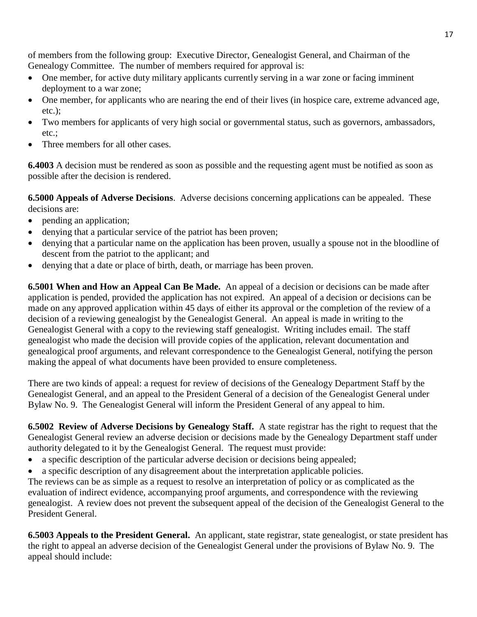of members from the following group: Executive Director, Genealogist General, and Chairman of the Genealogy Committee. The number of members required for approval is:

- One member, for active duty military applicants currently serving in a war zone or facing imminent deployment to a war zone;
- One member, for applicants who are nearing the end of their lives (in hospice care, extreme advanced age, etc.);
- Two members for applicants of very high social or governmental status, such as governors, ambassadors, etc.;
- Three members for all other cases.

**6.4003** A decision must be rendered as soon as possible and the requesting agent must be notified as soon as possible after the decision is rendered.

**6.5000 Appeals of Adverse Decisions**. Adverse decisions concerning applications can be appealed. These decisions are:

- pending an application;
- denying that a particular service of the patriot has been proven;
- denying that a particular name on the application has been proven, usually a spouse not in the bloodline of descent from the patriot to the applicant; and
- denying that a date or place of birth, death, or marriage has been proven.

**6.5001 When and How an Appeal Can Be Made.** An appeal of a decision or decisions can be made after application is pended, provided the application has not expired. An appeal of a decision or decisions can be made on any approved application within 45 days of either its approval or the completion of the review of a decision of a reviewing genealogist by the Genealogist General. An appeal is made in writing to the Genealogist General with a copy to the reviewing staff genealogist. Writing includes email. The staff genealogist who made the decision will provide copies of the application, relevant documentation and genealogical proof arguments, and relevant correspondence to the Genealogist General, notifying the person making the appeal of what documents have been provided to ensure completeness.

There are two kinds of appeal: a request for review of decisions of the Genealogy Department Staff by the Genealogist General, and an appeal to the President General of a decision of the Genealogist General under Bylaw No. 9. The Genealogist General will inform the President General of any appeal to him.

**6.5002 Review of Adverse Decisions by Genealogy Staff.** A state registrar has the right to request that the Genealogist General review an adverse decision or decisions made by the Genealogy Department staff under authority delegated to it by the Genealogist General. The request must provide:

- a specific description of the particular adverse decision or decisions being appealed;
- a specific description of any disagreement about the interpretation applicable policies.

The reviews can be as simple as a request to resolve an interpretation of policy or as complicated as the evaluation of indirect evidence, accompanying proof arguments, and correspondence with the reviewing genealogist. A review does not prevent the subsequent appeal of the decision of the Genealogist General to the President General.

**6.5003 Appeals to the President General.** An applicant, state registrar, state genealogist, or state president has the right to appeal an adverse decision of the Genealogist General under the provisions of Bylaw No. 9. The appeal should include: